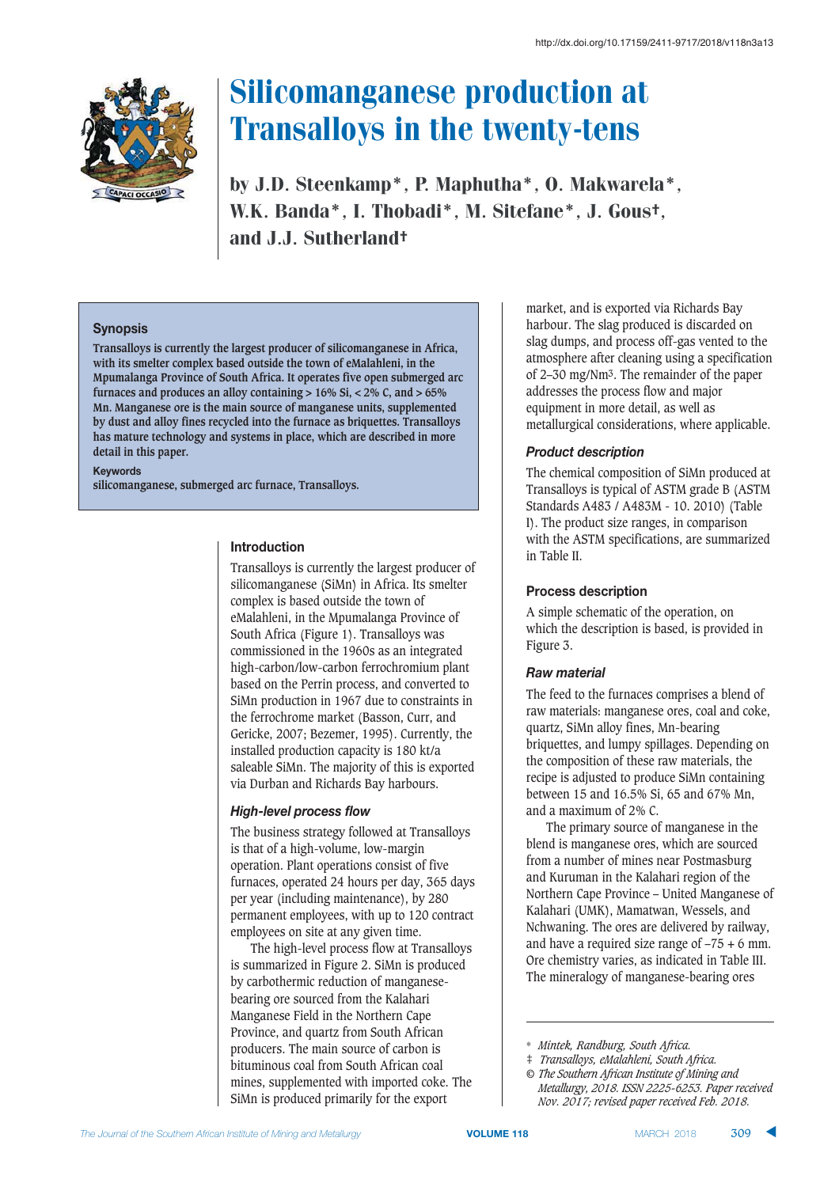

by J.D. Steenkamp\*, P. Maphutha\*, O. Makwarela\*, W.K. Banda\*, I. Thobadi\*, M. Sitefane\*, J. Gous†, and J.J. Sutherland†

#### **Synopsis**

**Transalloys is currently the largest producer of silicomanganese in Africa, with its smelter complex based outside the town of eMalahleni, in the Mpumalanga Province of South Africa. It operates five open submerged arc furnaces and produces an alloy containing > 16% Si, < 2% C, and > 65% Mn. Manganese ore is the main source of manganese units, supplemented by dust and alloy fines recycled into the furnace as briquettes. Transalloys has mature technology and systems in place, which are described in more detail in this paper.**

**Keywords** 

**silicomanganese, submerged arc furnace, Transalloys.**

#### <u>Introduction</u>

Transalloys is currently the largest producer of silicomanganese (SiMn) in Africa. Its smelter complex is based outside the town of eMalahleni, in the Mpumalanga Province of South Africa (Figure 1). Transalloys was commissioned in the 1960s as an integrated high-carbon/low-carbon ferrochromium plant based on the Perrin process, and converted to SiMn production in 1967 due to constraints in the ferrochrome market (Basson, Curr, and Gericke, 2007; Bezemer, 1995). Currently, the installed production capacity is 180 kt/a saleable SiMn. The majority of this is exported via Durban and Richards Bay harbours.

#### High-level process flow

The business strategy followed at Transalloys is that of a high-volume, low-margin operation. Plant operations consist of five furnaces, operated 24 hours per day, 365 days per year (including maintenance), by 280 permanent employees, with up to 120 contract employees on site at any given time.

The high-level process flow at Transalloys is summarized in Figure 2. SiMn is produced by carbothermic reduction of manganesebearing ore sourced from the Kalahari Manganese Field in the Northern Cape Province, and quartz from South African producers. The main source of carbon is bituminous coal from South African coal mines, supplemented with imported coke. The SiMn is produced primarily for the export

market, and is exported via Richards Bay harbour. The slag produced is discarded on slag dumps, and process off-gas vented to the atmosphere after cleaning using a specification of 2–30 mg/Nm3. The remainder of the paper addresses the process flow and major equipment in more detail, as well as metallurgical considerations, where applicable.

#### **Product description**

The chemical composition of SiMn produced at Transalloys is typical of ASTM grade B (ASTM Standards A483 / A483M - 10. 2010) (Table I). The product size ranges, in comparison with the ASTM specifications, are summarized in Table II.

# Process description

A simple schematic of the operation, on which the description is based, is provided in Figure 3.

#### **Raw material**

The feed to the furnaces comprises a blend of raw materials: manganese ores, coal and coke, quartz, SiMn alloy fines, Mn-bearing briquettes, and lumpy spillages. Depending on the composition of these raw materials, the recipe is adjusted to produce SiMn containing between 15 and 16.5% Si, 65 and 67% Mn, and a maximum of 2% C.

The primary source of manganese in the blend is manganese ores, which are sourced from a number of mines near Postmasburg and Kuruman in the Kalahari region of the Northern Cape Province – United Manganese of Kalahari (UMK), Mamatwan, Wessels, and Nchwaning. The ores are delivered by railway, and have a required size range of  $-75 + 6$  mm. Ore chemistry varies, as indicated in Table III. The mineralogy of manganese-bearing ores

<sup>\*</sup> *Mintek, Randburg, South Africa.*

<sup>‡</sup> *Transalloys, eMalahleni, South Africa.*

*<sup>©</sup> The Southern African Institute of Mining and Metallurgy, 2018. ISSN 2225-6253. Paper received Nov. 2017; revised paper received Feb. 2018.*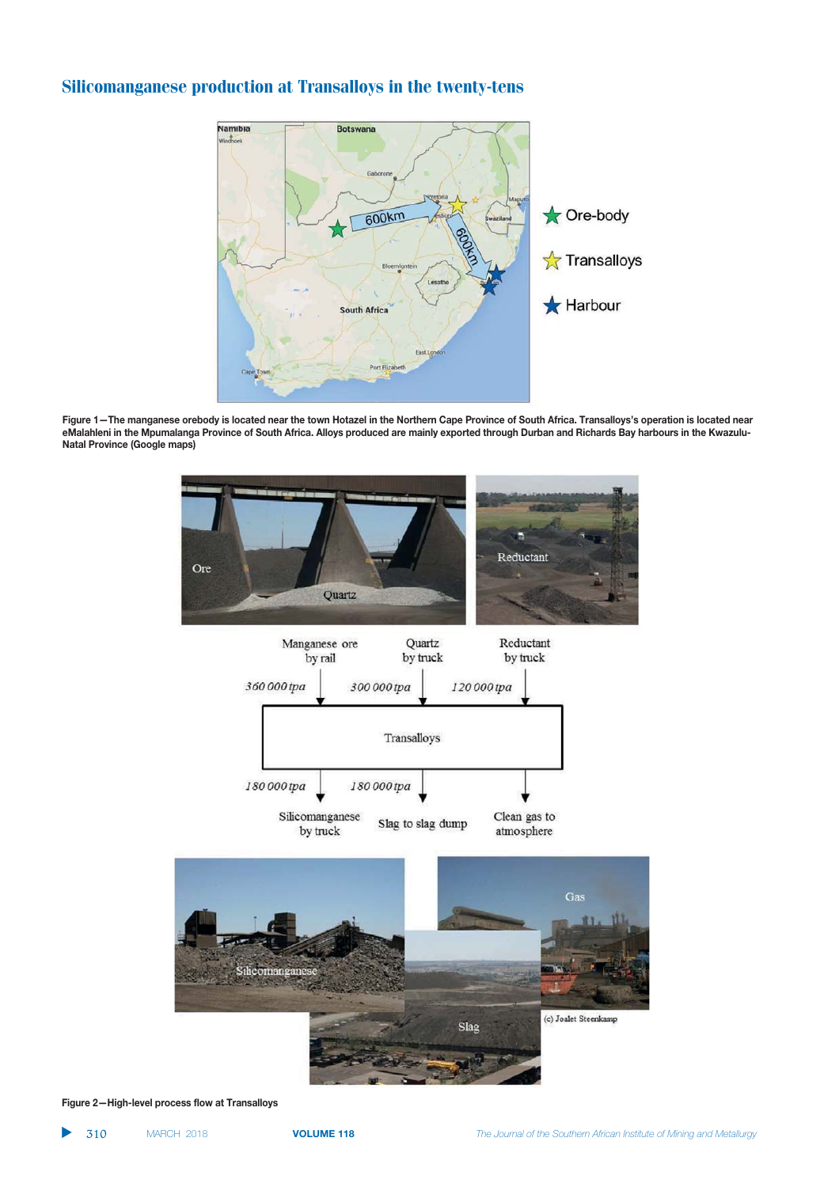

Figure 1-The manganese orebody is located near the town Hotazel in the Northern Cape Province of South Africa. Transalloys's operation is located near eMalahleni in the Mpumalanga Province of South Africa. Alloys produced are mainly exported through Durban and Richards Bay harbours in the Kwazulu-Natal Province (Google maps)



Figure 2-High-level process flow at Transalloys

▲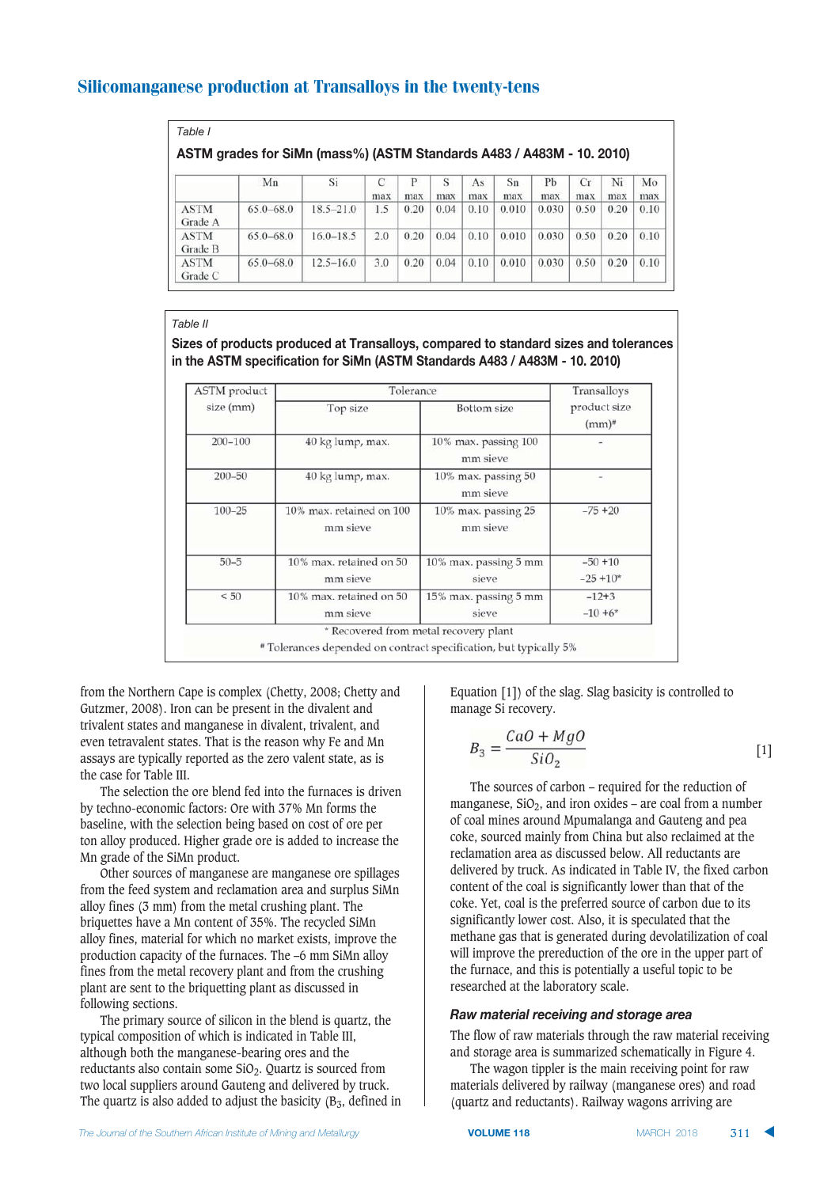| Table I                |                                                                       |               |          |          |          |           |           |           |           |           |           |
|------------------------|-----------------------------------------------------------------------|---------------|----------|----------|----------|-----------|-----------|-----------|-----------|-----------|-----------|
|                        | ASTM grades for SiMn (mass%) (ASTM Standards A483 / A483M - 10. 2010) |               |          |          |          |           |           |           |           |           |           |
|                        | Mn                                                                    | Si            | C<br>max | P<br>max | S<br>max | As<br>max | Sn<br>max | Pb<br>max | Cr<br>max | Ni<br>max | Mo<br>max |
| <b>ASTM</b><br>Grade A | $65.0 - 68.0$                                                         | $18.5 - 21.0$ | 1.5      | 0.20     | 0.04     | 0.10      | 0.010     | 0.030     | 0.50      | 0.20      | 0.10      |
| <b>ASTM</b><br>Grade B | $65.0 - 68.0$                                                         | $16.0 - 18.5$ | 2.0      | 0.20     | 0.04     | 0.10      | 0.010     | 0.030     | 0.50      | 0.20      | 0.10      |
| <b>ASTM</b><br>Grade C | $65.0 - 68.0$                                                         | $12.5 - 16.0$ | 3.0      | 0.20     | 0.04     | 0.10      | 0.010     | 0.030     | 0.50      | 0.20      | 0.10      |

## *Table II*

#### $\overline{\text{Sizes of products produced at Transallows, compared to standard sizes and tolerances}$ **in the ASTM specification for SiMn (ASTM Standards A483 / A483M - 10. 2010)**

| ASTM product | Tolerance                            |                                  | Transalloys               |  |
|--------------|--------------------------------------|----------------------------------|---------------------------|--|
| size (mm)    | Top size                             | Bottom size                      | product size<br>$(mm)$ #  |  |
| 200-100      | 40 kg lump, max.                     | 10% max. passing 100<br>mm sieve |                           |  |
| $200 - 50$   | 40 kg lump, max.                     | 10% max. passing 50<br>mm sieve  |                           |  |
| $100 - 25$   | 10% max, retained on 100<br>mm sieve | 10% max. passing 25<br>mm sieve  | $-75 + 20$                |  |
| $50 - 5$     | 10% max, retained on 50<br>mm sieve  | 10% max. passing 5 mm<br>sieve   | $-50 + 10$<br>$-25 + 10*$ |  |
| < 50         | 10% max. retained on 50<br>mm sieve  | 15% max. passing 5 mm<br>sieve   | $-12+3$<br>$-10+6*$       |  |

from the Northern Cape is complex (Chetty, 2008; Chetty and Gutzmer, 2008). Iron can be present in the divalent and trivalent states and manganese in divalent, trivalent, and even tetravalent states. That is the reason why Fe and Mn assays are typically reported as the zero valent state, as is the case for Table III.

The selection the ore blend fed into the furnaces is driven by techno-economic factors: Ore with 37% Mn forms the baseline, with the selection being based on cost of ore per ton alloy produced. Higher grade ore is added to increase the Mn grade of the SiMn product.

Other sources of manganese are manganese ore spillages from the feed system and reclamation area and surplus SiMn alloy fines (3 mm) from the metal crushing plant. The briquettes have a Mn content of 35%. The recycled SiMn alloy fines, material for which no market exists, improve the production capacity of the furnaces. The –6 mm SiMn alloy fines from the metal recovery plant and from the crushing plant are sent to the briquetting plant as discussed in following sections.

The primary source of silicon in the blend is quartz, the typical composition of which is indicated in Table III, although both the manganese-bearing ores and the reductants also contain some SiO<sub>2</sub>. Quartz is sourced from two local suppliers around Gauteng and delivered by truck. The quartz is also added to adjust the basicity  $(B_3, \text{ defined in})$  Equation [1]) of the slag. Slag basicity is controlled to manage Si recovery.

$$
B_3 = \frac{CaO + MgO}{SiO_2} \tag{1}
$$

The sources of carbon – required for the reduction of manganese,  $SiO<sub>2</sub>$ , and iron oxides – are coal from a number of coal mines around Mpumalanga and Gauteng and pea coke, sourced mainly from China but also reclaimed at the reclamation area as discussed below. All reductants are delivered by truck. As indicated in Table IV, the fixed carbon content of the coal is significantly lower than that of the coke. Yet, coal is the preferred source of carbon due to its significantly lower cost. Also, it is speculated that the methane gas that is generated during devolatilization of coal will improve the prereduction of the ore in the upper part of the furnace, and this is potentially a useful topic to be researched at the laboratory scale.

#### *Raw material receiving and storage area*

The flow of raw materials through the raw material receiving and storage area is summarized schematically in Figure 4.

The wagon tippler is the main receiving point for raw materials delivered by railway (manganese ores) and road (quartz and reductants). Railway wagons arriving are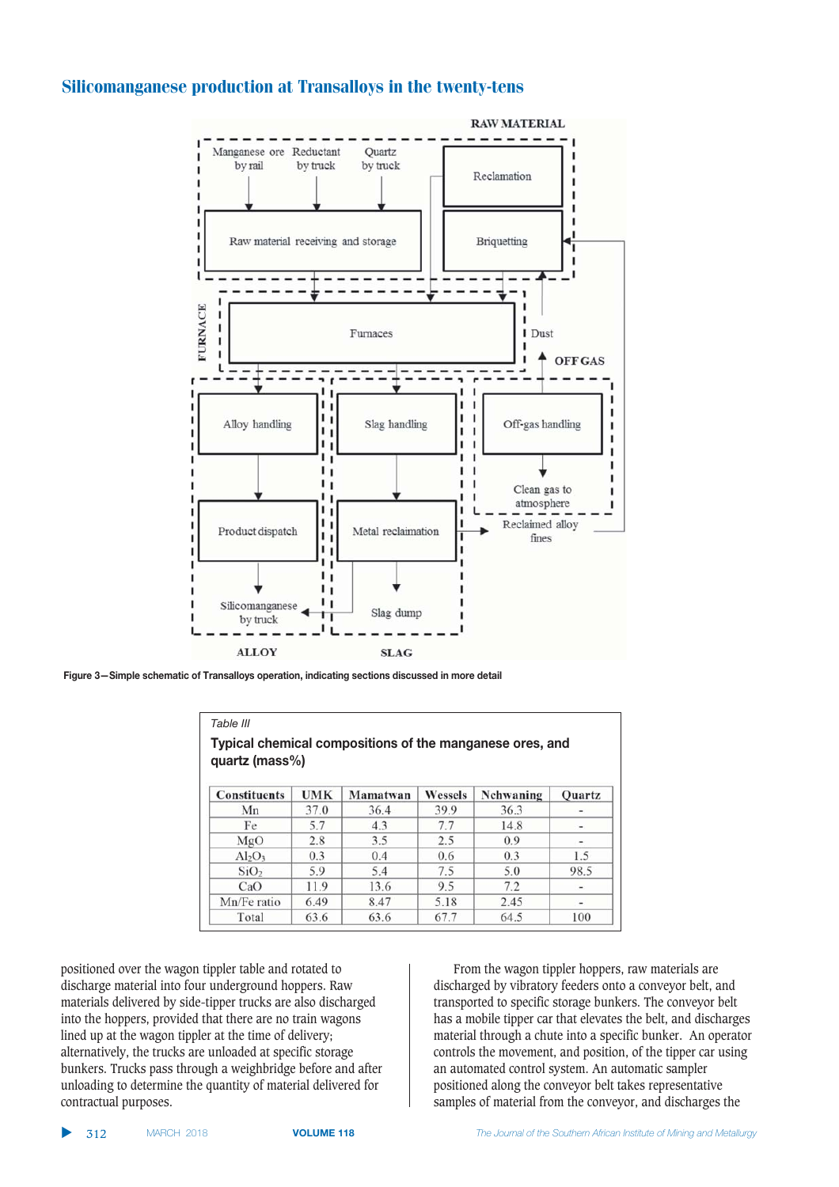

Figure 3-Simple schematic of Transalloys operation, indicating sections discussed in more detail

| Table III           |            |          |         |                                                          |               |
|---------------------|------------|----------|---------|----------------------------------------------------------|---------------|
|                     |            |          |         | Typical chemical compositions of the manganese ores, and |               |
| quartz (mass $%$ )  |            |          |         |                                                          |               |
| <b>Constituents</b> | <b>UMK</b> | Mamatwan | Wessels | Nchwaning                                                | <b>Ouartz</b> |
| Mn                  | 37.0       | 36.4     | 39.9    | 36.3                                                     |               |
| Fe                  | 5.7        | 4.3      | 7.7     | 14.8                                                     | ۰             |
| MgO                 | 2.8        | 3.5      | 2.5     | 0.9                                                      |               |
| $Al_2O_3$           | 0.3        | 0.4      | 0.6     | 0.3                                                      | 1.5           |
| SiO <sub>2</sub>    | 5.9        | 5.4      | 7.5     | 5.0                                                      | 98.5          |
| CaO                 | 11.9       | 13.6     | 9.5     | 7.2                                                      |               |
| Mn/Fe ratio         | 6.49       | 8.47     | 5.18    | 2.45                                                     | ٠             |
| Total               | 63.6       | 63.6     | 67.7    | 64.5                                                     | 100           |

positioned over the wagon tippler table and rotated to discharge material into four underground hoppers. Raw materials delivered by side-tipper trucks are also discharged into the hoppers, provided that there are no train wagons lined up at the wagon tippler at the time of delivery; alternatively, the trucks are unloaded at specific storage bunkers. Trucks pass through a weighbridge before and after unloading to determine the quantity of material delivered for contractual purposes.

From the wagon tippler hoppers, raw materials are discharged by vibratory feeders onto a conveyor belt, and transported to specific storage bunkers. The conveyor belt has a mobile tipper car that elevates the belt, and discharges material through a chute into a specific bunker. An operator controls the movement, and position, of the tipper car using an automated control system. An automatic sampler positioned along the conveyor belt takes representative samples of material from the conveyor, and discharges the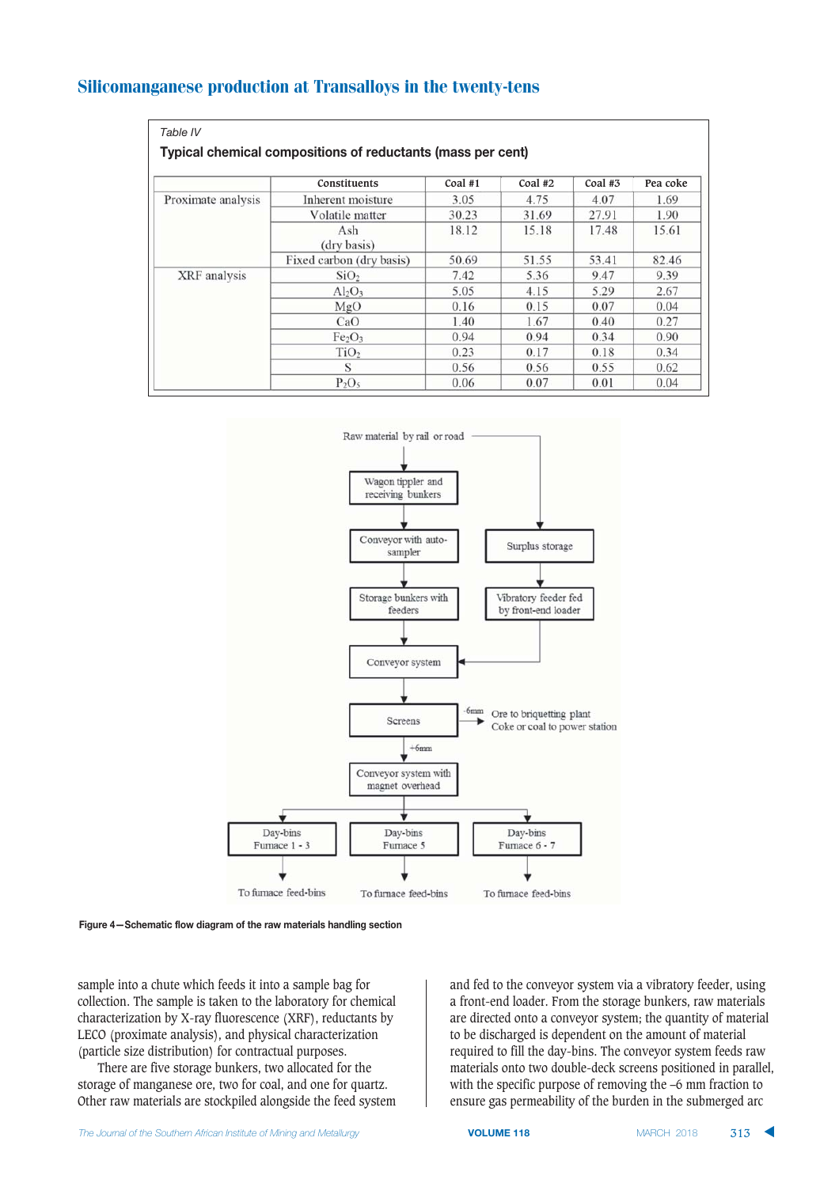|                    | Constituents                   | Coal $#1$ | Coal $#2$ | Coal $#3$ | Pea coke |
|--------------------|--------------------------------|-----------|-----------|-----------|----------|
| Proximate analysis | Inherent moisture              | 3.05      | 4.75      | 4.07      | 1.69     |
|                    | Volatile matter                | 30.23     | 31.69     | 27.91     | 1.90     |
|                    | Ash<br>(dry basis)             | 18.12     | 15.18     | 17.48     | 15.61    |
|                    | Fixed carbon (dry basis)       | 50.69     | 51.55     | 53.41     | 82.46    |
| XRF analysis       | SiO <sub>2</sub>               | 7.42      | 5.36      | 9.47      | 9.39     |
|                    | $Al_2O_3$                      | 5.05      | 4.15      | 5.29      | 2.67     |
|                    | MgO                            | 0.16      | 0.15      | 0.07      | 0.04     |
|                    | CaO                            | 1.40      | 1.67      | 0.40      | 0.27     |
|                    | Fe <sub>2</sub> O <sub>3</sub> | 0.94      | 0.94      | 0.34      | 0.90     |
|                    | TiO <sub>2</sub>               | 0.23      | 0.17      | 0.18      | 0.34     |
|                    | S                              | 0.56      | 0.56      | 0.55      | 0.62     |
|                    | $P_2O_5$                       | 0.06      | 0.07      | 0.01      | 0.04     |





sample into a chute which feeds it into a sample bag for collection. The sample is taken to the laboratory for chemical characterization by X-ray fluorescence (XRF), reductants by LECO (proximate analysis), and physical characterization (particle size distribution) for contractual purposes.

There are five storage bunkers, two allocated for the storage of manganese ore, two for coal, and one for quartz. Other raw materials are stockpiled alongside the feed system and fed to the conveyor system via a vibratory feeder, using a front-end loader. From the storage bunkers, raw materials are directed onto a conveyor system; the quantity of material to be discharged is dependent on the amount of material required to fill the day-bins. The conveyor system feeds raw materials onto two double-deck screens positioned in parallel, with the specific purpose of removing the –6 mm fraction to ensure gas permeability of the burden in the submerged arc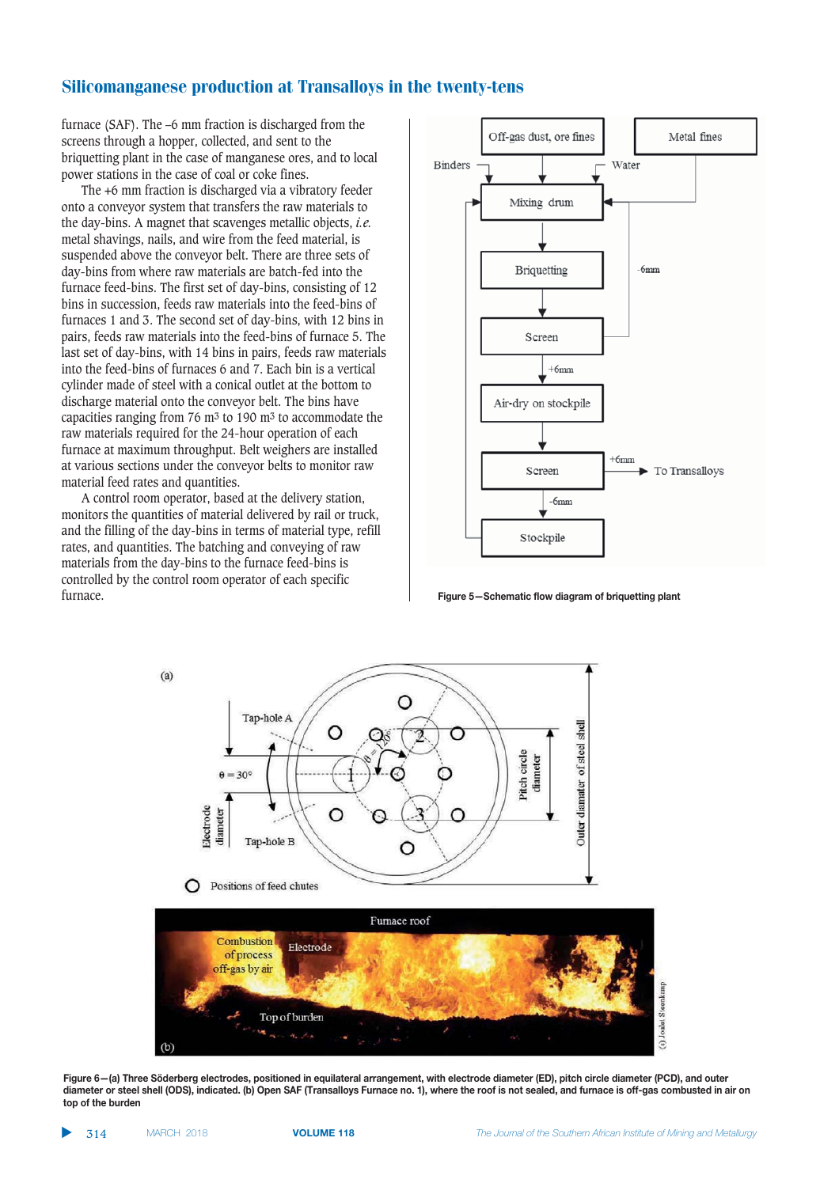furnace (SAF). The –6 mm fraction is discharged from the screens through a hopper, collected, and sent to the briquetting plant in the case of manganese ores, and to local power stations in the case of coal or coke fines.

The +6 mm fraction is discharged via a vibratory feeder onto a conveyor system that transfers the raw materials to the day-bins. A magnet that scavenges metallic objects, *i.e.* metal shavings, nails, and wire from the feed material, is suspended above the conveyor belt. There are three sets of day-bins from where raw materials are batch-fed into the furnace feed-bins. The first set of day-bins, consisting of 12 bins in succession, feeds raw materials into the feed-bins of furnaces 1 and 3. The second set of day-bins, with 12 bins in pairs, feeds raw materials into the feed-bins of furnace 5. The last set of day-bins, with 14 bins in pairs, feeds raw materials into the feed-bins of furnaces 6 and 7. Each bin is a vertical cylinder made of steel with a conical outlet at the bottom to discharge material onto the conveyor belt. The bins have capacities ranging from 76 m3 to 190 m3 to accommodate the raw materials required for the 24-hour operation of each furnace at maximum throughput. Belt weighers are installed at various sections under the conveyor belts to monitor raw material feed rates and quantities.

A control room operator, based at the delivery station, monitors the quantities of material delivered by rail or truck, and the filling of the day-bins in terms of material type, refill rates, and quantities. The batching and conveying of raw materials from the day-bins to the furnace feed-bins is controlled by the control room operator of each specific furnace.



**Figure 5-Schematic flow diagram of briquetting plant** 



Figure 6-(a) Three Söderberg electrodes, positioned in equilateral arrangement, with electrode diameter (ED), pitch circle diameter (PCD), and outer diameter or steel shell (ODS), indicated. (b) Open SAF (Transalloys Furnace no. 1), where the roof is not sealed, and furnace is off-gas combusted in air on top of the burden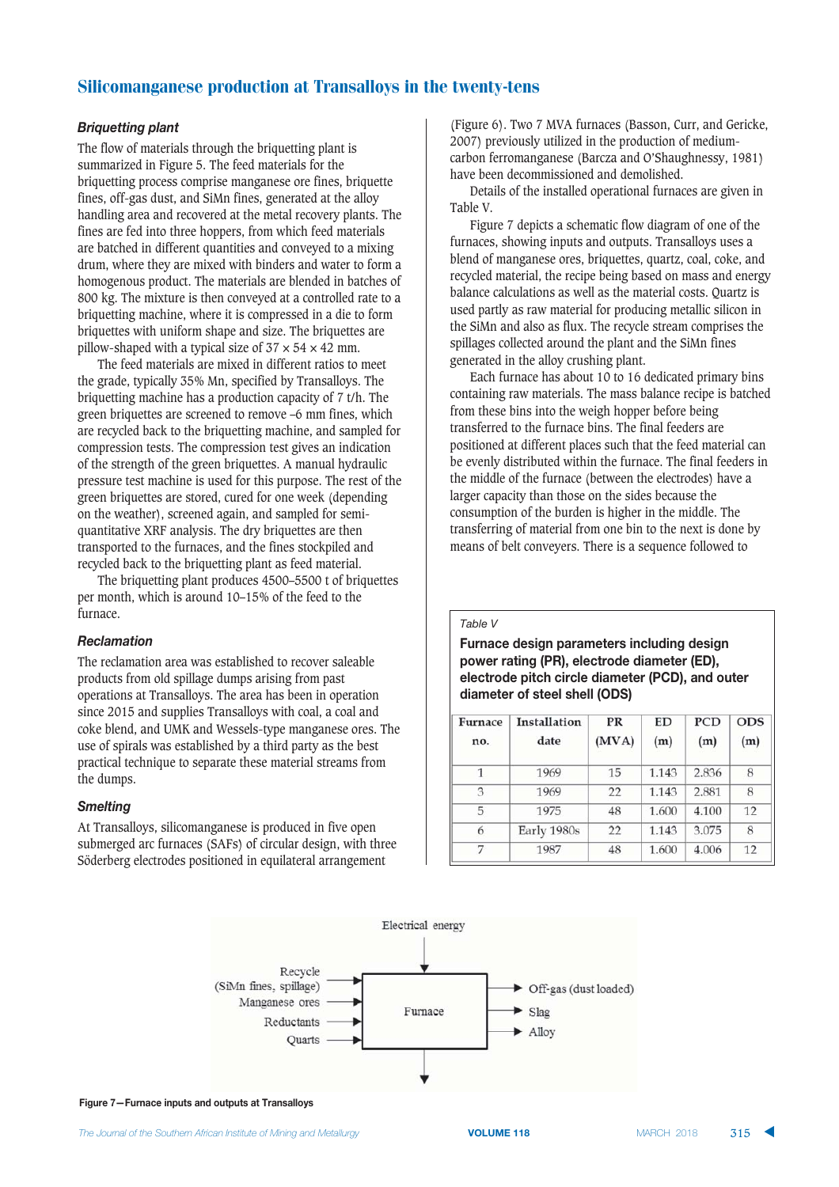#### **Briquetting plant**

The flow of materials through the briquetting plant is summarized in Figure 5. The feed materials for the briquetting process comprise manganese ore fines, briquette fines, off-gas dust, and SiMn fines, generated at the alloy handling area and recovered at the metal recovery plants. The fines are fed into three hoppers, from which feed materials are batched in different quantities and conveyed to a mixing drum, where they are mixed with binders and water to form a homogenous product. The materials are blended in batches of 800 kg. The mixture is then conveyed at a controlled rate to a briquetting machine, where it is compressed in a die to form briquettes with uniform shape and size. The briquettes are pillow-shaped with a typical size of  $37 \times 54 \times 42$  mm.

The feed materials are mixed in different ratios to meet the grade, typically 35% Mn, specified by Transalloys. The briquetting machine has a production capacity of 7 t/h. The green briquettes are screened to remove –6 mm fines, which are recycled back to the briquetting machine, and sampled for compression tests. The compression test gives an indication of the strength of the green briquettes. A manual hydraulic pressure test machine is used for this purpose. The rest of the green briquettes are stored, cured for one week (depending on the weather), screened again, and sampled for semiquantitative XRF analysis. The dry briquettes are then transported to the furnaces, and the fines stockpiled and recycled back to the briquetting plant as feed material.

The briquetting plant produces 4500–5500 t of briquettes per month, which is around 10–15% of the feed to the furnace.

#### $Reclamation$

The reclamation area was established to recover saleable products from old spillage dumps arising from past operations at Transalloys. The area has been in operation since 2015 and supplies Transalloys with coal, a coal and coke blend, and UMK and Wessels-type manganese ores. The use of spirals was established by a third party as the best practical technique to separate these material streams from the dumps.

#### **Smelting**

At Transalloys, silicomanganese is produced in five open submerged arc furnaces (SAFs) of circular design, with three Söderberg electrodes positioned in equilateral arrangement

(Figure 6). Two 7 MVA furnaces (Basson, Curr, and Gericke, 2007) previously utilized in the production of mediumcarbon ferromanganese (Barcza and O'Shaughnessy, 1981) have been decommissioned and demolished.

Details of the installed operational furnaces are given in Table V.

Figure 7 depicts a schematic flow diagram of one of the furnaces, showing inputs and outputs. Transalloys uses a blend of manganese ores, briquettes, quartz, coal, coke, and recycled material, the recipe being based on mass and energy balance calculations as well as the material costs. Quartz is used partly as raw material for producing metallic silicon in the SiMn and also as flux. The recycle stream comprises the spillages collected around the plant and the SiMn fines generated in the alloy crushing plant.

Each furnace has about 10 to 16 dedicated primary bins containing raw materials. The mass balance recipe is batched from these bins into the weigh hopper before being transferred to the furnace bins. The final feeders are positioned at different places such that the feed material can be evenly distributed within the furnace. The final feeders in the middle of the furnace (between the electrodes) have a larger capacity than those on the sides because the consumption of the burden is higher in the middle. The transferring of material from one bin to the next is done by means of belt conveyers. There is a sequence followed to

#### *Table V*

**Furnace design parameters including design** power rating (PR), electrode diameter (ED), electrode pitch circle diameter (PCD), and outer  $6$  diameter of steel shell (ODS)

| Furnace<br>no. | Installation<br>date | <b>PR</b><br>(MVA) | ED<br>(m) | <b>PCD</b><br>(m) | <b>ODS</b><br>(m) |
|----------------|----------------------|--------------------|-----------|-------------------|-------------------|
| 1              | 1969                 | 15                 | 1.143     | 2.836             | 8                 |
| 3              | 1969                 | 22                 | 1.143     | 2.881             | 8                 |
| 5              | 1975                 | 48                 | 1.600     | 4.100             | 12                |
| 6              | Early 1980s          | 22                 | 1.143     | 3.075             | 8                 |
| 7              | 1987                 | 48                 | 1.600     | 4.006             | 12                |



Figure 7-Furnace inputs and outputs at Transalloys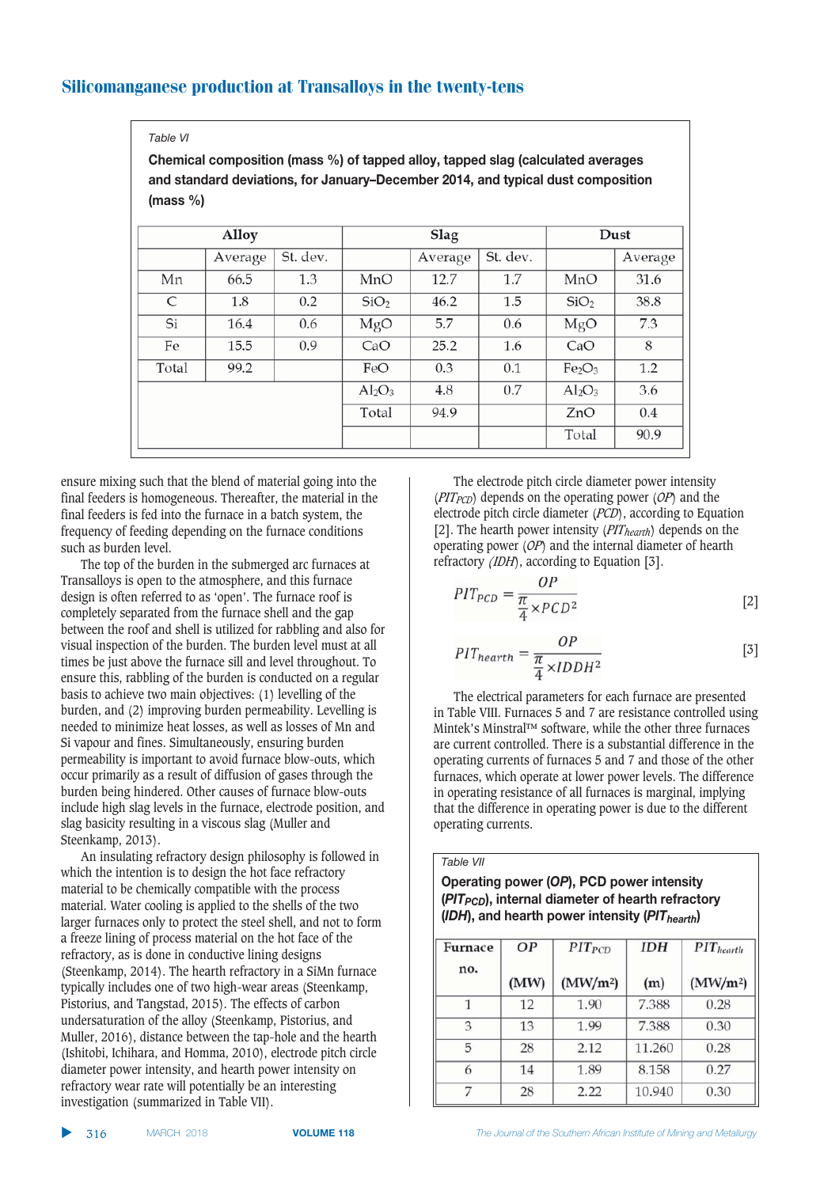*Table VI*

Chemical composition (mass %) of tapped alloy, tapped slag (calculated averages and standard deviations, for January-December 2014, and typical dust composition (mass %)

| Alloy |         |          | Slag                           |         |          | Dust                           |         |
|-------|---------|----------|--------------------------------|---------|----------|--------------------------------|---------|
|       | Average | St. dev. |                                | Average | St. dev. |                                | Average |
| Mn    | 66.5    | 1.3      | MnO                            | 12.7    | 1.7      | MnO                            | 31.6    |
| C     | 1.8     | 0.2      | SiO <sub>2</sub>               | 46.2    | 1.5      | SiO <sub>2</sub>               | 38.8    |
| Si    | 16.4    | 0.6      | MgO                            | 5.7     | 0.6      | MgO                            | 7.3     |
| Fe    | 15.5    | 0.9      | CaO                            | 25.2    | 1.6      | CaO                            | 8       |
| Total | 99.2    |          | FeO                            | 0.3     | 0.1      | Fe <sub>2</sub> O <sub>3</sub> | 1.2     |
|       |         |          | Al <sub>2</sub> O <sub>3</sub> | 4.8     | 0.7      | Al <sub>2</sub> O <sub>3</sub> | 3.6     |
|       |         |          | Total                          | 94.9    |          | ZnO                            | 0.4     |
|       |         |          |                                |         |          | Total                          | 90.9    |
|       |         |          |                                |         |          |                                |         |

ensure mixing such that the blend of material going into the final feeders is homogeneous. Thereafter, the material in the final feeders is fed into the furnace in a batch system, the frequency of feeding depending on the furnace conditions such as burden level.

The top of the burden in the submerged arc furnaces at Transalloys is open to the atmosphere, and this furnace design is often referred to as 'open'. The furnace roof is completely separated from the furnace shell and the gap between the roof and shell is utilized for rabbling and also for visual inspection of the burden. The burden level must at all times be just above the furnace sill and level throughout. To ensure this, rabbling of the burden is conducted on a regular basis to achieve two main objectives: (1) levelling of the burden, and (2) improving burden permeability. Levelling is needed to minimize heat losses, as well as losses of Mn and Si vapour and fines. Simultaneously, ensuring burden permeability is important to avoid furnace blow-outs, which occur primarily as a result of diffusion of gases through the burden being hindered. Other causes of furnace blow-outs include high slag levels in the furnace, electrode position, and slag basicity resulting in a viscous slag (Muller and Steenkamp, 2013).

An insulating refractory design philosophy is followed in which the intention is to design the hot face refractory material to be chemically compatible with the process material. Water cooling is applied to the shells of the two larger furnaces only to protect the steel shell, and not to form a freeze lining of process material on the hot face of the refractory, as is done in conductive lining designs (Steenkamp, 2014). The hearth refractory in a SiMn furnace typically includes one of two high-wear areas (Steenkamp, Pistorius, and Tangstad, 2015). The effects of carbon undersaturation of the alloy (Steenkamp, Pistorius, and Muller, 2016), distance between the tap-hole and the hearth (Ishitobi, Ichihara, and Homma, 2010), electrode pitch circle diameter power intensity, and hearth power intensity on refractory wear rate will potentially be an interesting investigation (summarized in Table VII).

The electrode pitch circle diameter power intensity (*PITPCD*) depends on the operating power (*OP*) and the electrode pitch circle diameter (*PCD*), according to Equation [2]. The hearth power intensity (*PIT<sub>hearth</sub>*) depends on the operating power (*OP*) and the internal diameter of hearth refractory *(IDH*), according to Equation [3].

$$
PIT_{PCD} = \frac{OP}{\frac{\pi}{4} \times PCD^2}
$$
 [2]

$$
PIT_{hearth} = \frac{OP}{\frac{\pi}{4} \times IDDH^2}
$$
 [3]

The electrical parameters for each furnace are presented in Table VIII. Furnaces 5 and 7 are resistance controlled using Mintek's Minstral™ software, while the other three furnaces are current controlled. There is a substantial difference in the operating currents of furnaces 5 and 7 and those of the other furnaces, which operate at lower power levels. The difference in operating resistance of all furnaces is marginal, implying that the difference in operating power is due to the different operating currents.

*Table VII*

**Operating power (OP), PCD power intensity (PIT<sub>PCD</sub>)**, internal diameter of hearth refractory *(IDH), and hearth power intensity (PIT<sub>hearth</sub>)* 

| Furnace | ΟP   | PIT <sub>PCD</sub>   | <b>IDH</b> | $PIT$ hearth         |
|---------|------|----------------------|------------|----------------------|
| no.     | (MW) | (MW/m <sup>2</sup> ) | (m)        | (MW/m <sup>2</sup> ) |
|         | 12   | 1.90                 | 7.388      | 0.28                 |
| 3       | 13   | 1.99                 | 7.388      | 0.30                 |
| 5       | 28   | 2.12                 | 11.260     | 0.28                 |
| 6       | 14   | 1.89                 | 8.158      | 0.27                 |
| 7       | 28   | 2.22                 | 10.940     | 0.30                 |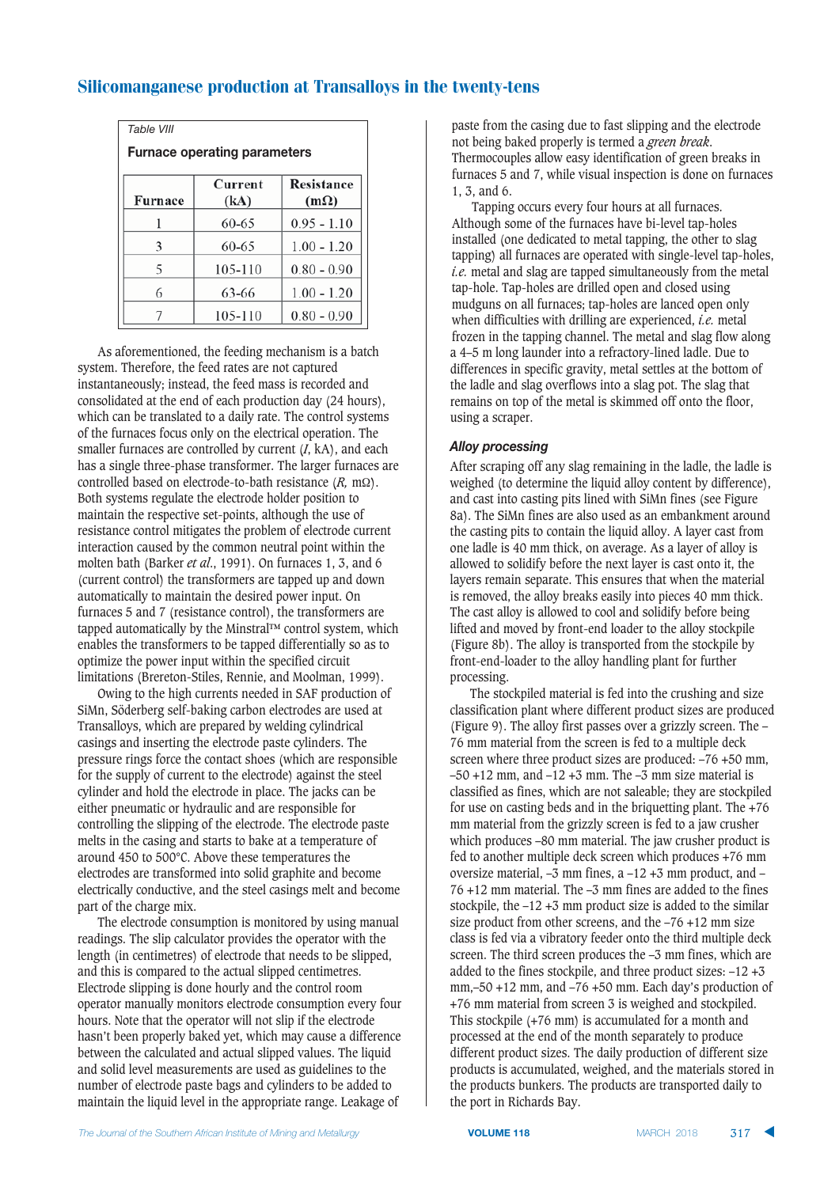| Table VIII                          |                 |                           |  |  |  |  |  |
|-------------------------------------|-----------------|---------------------------|--|--|--|--|--|
| <b>Furnace operating parameters</b> |                 |                           |  |  |  |  |  |
| Furnace                             | Current<br>(kA) | Resistance<br>$(m\Omega)$ |  |  |  |  |  |
|                                     | 60-65           | $0.95 - 1.10$             |  |  |  |  |  |
| 3                                   | 60-65           | $1.00 - 1.20$             |  |  |  |  |  |
| 5                                   | 105-110         | $0.80 - 0.90$             |  |  |  |  |  |
| 6                                   | 63-66           | $1.00 - 1.20$             |  |  |  |  |  |
|                                     | 105-110         | $0.80 - 0.90$             |  |  |  |  |  |

As aforementioned, the feeding mechanism is a batch system. Therefore, the feed rates are not captured instantaneously; instead, the feed mass is recorded and consolidated at the end of each production day (24 hours), which can be translated to a daily rate. The control systems of the furnaces focus only on the electrical operation. The smaller furnaces are controlled by current (*I*, kA), and each has a single three-phase transformer. The larger furnaces are controlled based on electrode-to-bath resistance (*R,* mΩ). Both systems regulate the electrode holder position to maintain the respective set-points, although the use of resistance control mitigates the problem of electrode current interaction caused by the common neutral point within the molten bath (Barker *et al*., 1991). On furnaces 1, 3, and 6 (current control) the transformers are tapped up and down automatically to maintain the desired power input. On furnaces 5 and 7 (resistance control), the transformers are tapped automatically by the Minstral™ control system, which enables the transformers to be tapped differentially so as to optimize the power input within the specified circuit limitations (Brereton-Stiles, Rennie, and Moolman, 1999).

Owing to the high currents needed in SAF production of SiMn, Söderberg self-baking carbon electrodes are used at Transalloys, which are prepared by welding cylindrical casings and inserting the electrode paste cylinders. The pressure rings force the contact shoes (which are responsible for the supply of current to the electrode) against the steel cylinder and hold the electrode in place. The jacks can be either pneumatic or hydraulic and are responsible for controlling the slipping of the electrode. The electrode paste melts in the casing and starts to bake at a temperature of around 450 to 500°C. Above these temperatures the electrodes are transformed into solid graphite and become electrically conductive, and the steel casings melt and become part of the charge mix.

The electrode consumption is monitored by using manual readings. The slip calculator provides the operator with the length (in centimetres) of electrode that needs to be slipped, and this is compared to the actual slipped centimetres. Electrode slipping is done hourly and the control room operator manually monitors electrode consumption every four hours. Note that the operator will not slip if the electrode hasn't been properly baked yet, which may cause a difference between the calculated and actual slipped values. The liquid and solid level measurements are used as guidelines to the number of electrode paste bags and cylinders to be added to maintain the liquid level in the appropriate range. Leakage of

paste from the casing due to fast slipping and the electrode not being baked properly is termed a *green break*. Thermocouples allow easy identification of green breaks in furnaces 5 and 7, while visual inspection is done on furnaces 1, 3, and 6.

Tapping occurs every four hours at all furnaces. Although some of the furnaces have bi-level tap-holes installed (one dedicated to metal tapping, the other to slag tapping) all furnaces are operated with single-level tap-holes, *i.e.* metal and slag are tapped simultaneously from the metal tap-hole. Tap-holes are drilled open and closed using mudguns on all furnaces; tap-holes are lanced open only when difficulties with drilling are experienced, *i.e.* metal frozen in the tapping channel. The metal and slag flow along a 4–5 m long launder into a refractory-lined ladle. Due to differences in specific gravity, metal settles at the bottom of the ladle and slag overflows into a slag pot. The slag that remains on top of the metal is skimmed off onto the floor, using a scraper.

# Alloy processing

After scraping off any slag remaining in the ladle, the ladle is weighed (to determine the liquid alloy content by difference), and cast into casting pits lined with SiMn fines (see Figure 8a). The SiMn fines are also used as an embankment around the casting pits to contain the liquid alloy. A layer cast from one ladle is 40 mm thick, on average. As a layer of alloy is allowed to solidify before the next layer is cast onto it, the layers remain separate. This ensures that when the material is removed, the alloy breaks easily into pieces 40 mm thick. The cast alloy is allowed to cool and solidify before being lifted and moved by front-end loader to the alloy stockpile (Figure 8b). The alloy is transported from the stockpile by front-end-loader to the alloy handling plant for further processing.

The stockpiled material is fed into the crushing and size classification plant where different product sizes are produced (Figure 9). The alloy first passes over a grizzly screen. The – 76 mm material from the screen is fed to a multiple deck screen where three product sizes are produced: –76 +50 mm,  $-50 + 12$  mm, and  $-12 + 3$  mm. The  $-3$  mm size material is classified as fines, which are not saleable; they are stockpiled for use on casting beds and in the briquetting plant. The +76 mm material from the grizzly screen is fed to a jaw crusher which produces –80 mm material. The jaw crusher product is fed to another multiple deck screen which produces +76 mm oversize material, –3 mm fines, a –12 +3 mm product, and – 76 +12 mm material. The –3 mm fines are added to the fines stockpile, the  $-12 +3$  mm product size is added to the similar size product from other screens, and the –76 +12 mm size class is fed via a vibratory feeder onto the third multiple deck screen. The third screen produces the –3 mm fines, which are added to the fines stockpile, and three product sizes: –12 +3 mm,–50 +12 mm, and –76 +50 mm. Each day's production of +76 mm material from screen 3 is weighed and stockpiled. This stockpile (+76 mm) is accumulated for a month and processed at the end of the month separately to produce different product sizes. The daily production of different size products is accumulated, weighed, and the materials stored in the products bunkers. The products are transported daily to the port in Richards Bay.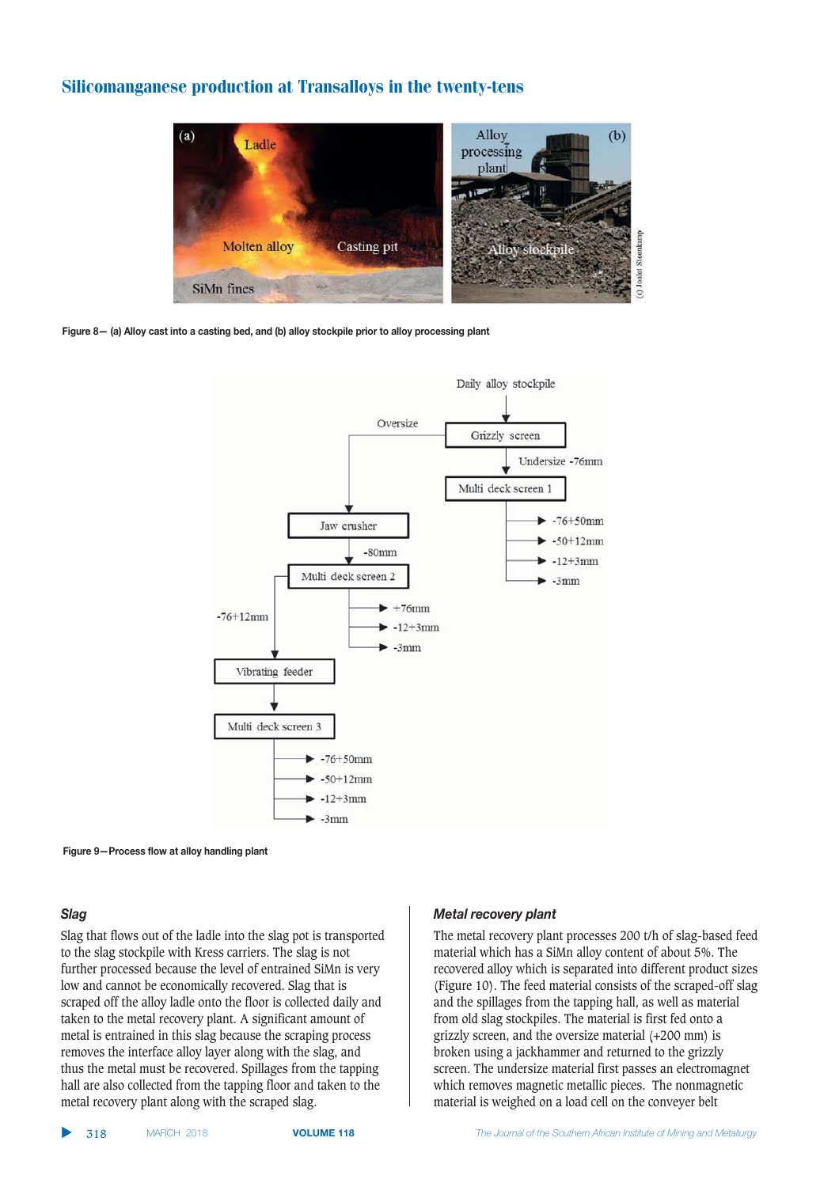

Figure 8- (a) Alloy cast into a casting bed, and (b) alloy stockpile prior to alloy processing plant



**Figure 9-Process flow at alloy handling plant** 

#### $Slag$

Slag that flows out of the ladle into the slag pot is transported to the slag stockpile with Kress carriers. The slag is not further processed because the level of entrained SiMn is very low and cannot be economically recovered. Slag that is scraped off the alloy ladle onto the floor is collected daily and taken to the metal recovery plant. A significant amount of metal is entrained in this slag because the scraping process removes the interface alloy layer along with the slag, and thus the metal must be recovered. Spillages from the tapping hall are also collected from the tapping floor and taken to the metal recovery plant along with the scraped slag.

#### $\emph{Meta}$  recovery plant

The metal recovery plant processes 200 t/h of slag-based feed material which has a SiMn alloy content of about 5%. The recovered alloy which is separated into different product sizes (Figure 10). The feed material consists of the scraped-off slag and the spillages from the tapping hall, as well as material from old slag stockpiles. The material is first fed onto a grizzly screen, and the oversize material (+200 mm) is broken using a jackhammer and returned to the grizzly screen. The undersize material first passes an electromagnet which removes magnetic metallic pieces. The nonmagnetic material is weighed on a load cell on the conveyer belt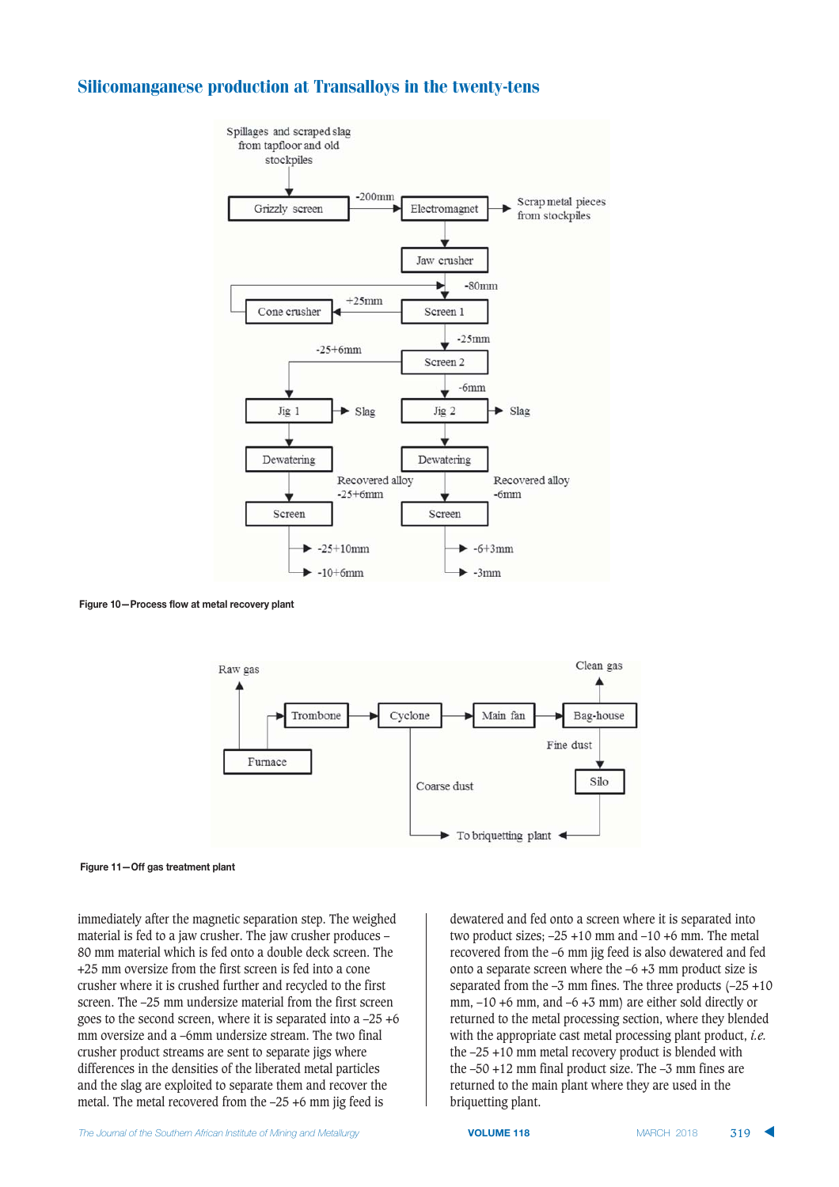

Figure 10-Process flow at metal recovery plant



**Figure 11-Off gas treatment plant** 

immediately after the magnetic separation step. The weighed material is fed to a jaw crusher. The jaw crusher produces – 80 mm material which is fed onto a double deck screen. The +25 mm oversize from the first screen is fed into a cone crusher where it is crushed further and recycled to the first screen. The –25 mm undersize material from the first screen goes to the second screen, where it is separated into a –25 +6 mm oversize and a –6mm undersize stream. The two final crusher product streams are sent to separate jigs where differences in the densities of the liberated metal particles and the slag are exploited to separate them and recover the metal. The metal recovered from the –25 +6 mm jig feed is

dewatered and fed onto a screen where it is separated into two product sizes;  $-25 + 10$  mm and  $-10 + 6$  mm. The metal recovered from the –6 mm jig feed is also dewatered and fed onto a separate screen where the –6 +3 mm product size is separated from the  $-3$  mm fines. The three products  $(-25 + 10)$ mm, –10 +6 mm, and –6 +3 mm) are either sold directly or returned to the metal processing section, where they blended with the appropriate cast metal processing plant product, *i.e.* the –25 +10 mm metal recovery product is blended with the  $-50 + 12$  mm final product size. The  $-3$  mm fines are returned to the main plant where they are used in the briquetting plant.